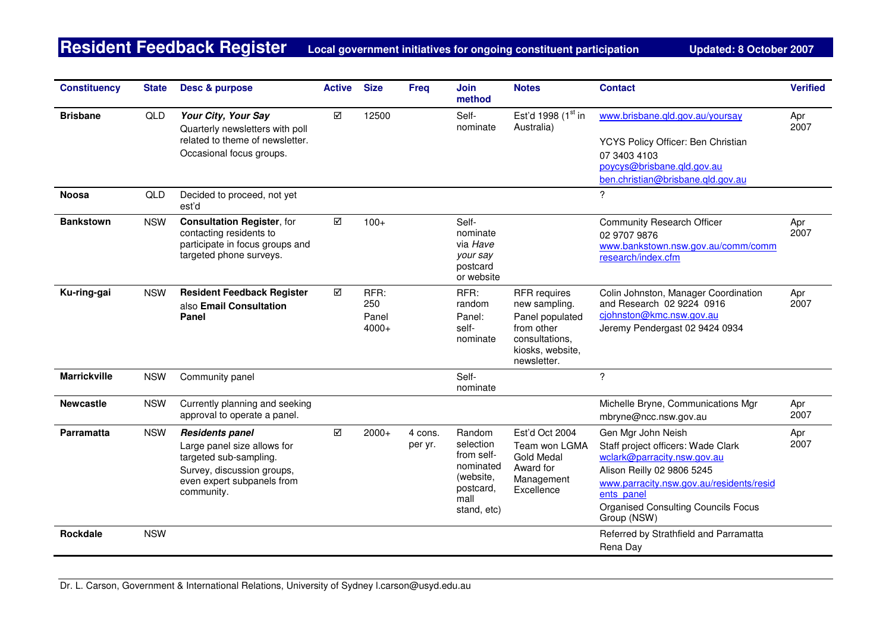**Resident Feedback Register** Local government initiatives for ongoing constituent participation Updated: 8 October 2007

| <b>Constituency</b> | <b>State</b> | Desc & purpose                                                                                                                                            | <b>Active</b> | <b>Size</b>                     | <b>Freq</b>        | <b>Join</b><br>method                                                                           | <b>Notes</b>                                                                                                               | <b>Contact</b>                                                                                                                                                                                                                               | <b>Verified</b> |
|---------------------|--------------|-----------------------------------------------------------------------------------------------------------------------------------------------------------|---------------|---------------------------------|--------------------|-------------------------------------------------------------------------------------------------|----------------------------------------------------------------------------------------------------------------------------|----------------------------------------------------------------------------------------------------------------------------------------------------------------------------------------------------------------------------------------------|-----------------|
| <b>Brisbane</b>     | QLD          | Your City, Your Say<br>Quarterly newsletters with poll<br>related to theme of newsletter.<br>Occasional focus groups.                                     | ☑             | 12500                           |                    | Self-<br>nominate                                                                               | Est'd 1998 (1st in<br>Australia)                                                                                           | www.brisbane.qld.gov.au/yoursay<br>YCYS Policy Officer: Ben Christian<br>07 3403 4103<br>poycys@brisbane.gld.gov.au<br>ben.christian@brisbane.gld.gov.au                                                                                     | Apr<br>2007     |
| <b>Noosa</b>        | QLD          | Decided to proceed, not yet<br>est'd                                                                                                                      |               |                                 |                    |                                                                                                 |                                                                                                                            | $\overline{?}$                                                                                                                                                                                                                               |                 |
| <b>Bankstown</b>    | <b>NSW</b>   | <b>Consultation Register, for</b><br>contacting residents to<br>participate in focus groups and<br>targeted phone surveys.                                | ☑             | $100+$                          |                    | Self-<br>nominate<br>via Have<br>your say<br>postcard<br>or website                             |                                                                                                                            | <b>Community Research Officer</b><br>02 9707 9876<br>www.bankstown.nsw.gov.au/comm/comm<br>research/index.cfm                                                                                                                                | Apr<br>2007     |
| Ku-ring-gai         | <b>NSW</b>   | <b>Resident Feedback Register</b><br>also Email Consultation<br>Panel                                                                                     | ☑             | RFR:<br>250<br>Panel<br>$4000+$ |                    | RFR:<br>random<br>Panel:<br>self-<br>nominate                                                   | <b>RFR</b> requires<br>new sampling.<br>Panel populated<br>from other<br>consultations,<br>kiosks, website,<br>newsletter. | Colin Johnston, Manager Coordination<br>and Research 02 9224 0916<br>cjohnston@kmc.nsw.gov.au<br>Jeremy Pendergast 02 9424 0934                                                                                                              | Apr<br>2007     |
| <b>Marrickville</b> | <b>NSW</b>   | Community panel                                                                                                                                           |               |                                 |                    | Self-<br>nominate                                                                               |                                                                                                                            | ?                                                                                                                                                                                                                                            |                 |
| <b>Newcastle</b>    | <b>NSW</b>   | Currently planning and seeking<br>approval to operate a panel.                                                                                            |               |                                 |                    |                                                                                                 |                                                                                                                            | Michelle Bryne, Communications Mgr<br>mbryne@ncc.nsw.gov.au                                                                                                                                                                                  | Apr<br>2007     |
| Parramatta          | <b>NSW</b>   | <b>Residents panel</b><br>Large panel size allows for<br>targeted sub-sampling.<br>Survey, discussion groups,<br>even expert subpanels from<br>community. | ☑             | $2000+$                         | 4 cons.<br>per yr. | Random<br>selection<br>from self-<br>nominated<br>(website,<br>postcard,<br>mall<br>stand, etc) | Est'd Oct 2004<br>Team won LGMA<br>Gold Medal<br>Award for<br>Management<br>Excellence                                     | Gen Mgr John Neish<br>Staff project officers: Wade Clark<br>wclark@parracity.nsw.gov.au<br>Alison Reilly 02 9806 5245<br>www.parracity.nsw.gov.au/residents/resid<br>ents panel<br><b>Organised Consulting Councils Focus</b><br>Group (NSW) | Apr<br>2007     |
| Rockdale            | <b>NSW</b>   |                                                                                                                                                           |               |                                 |                    |                                                                                                 |                                                                                                                            | Referred by Strathfield and Parramatta<br>Rena Day                                                                                                                                                                                           |                 |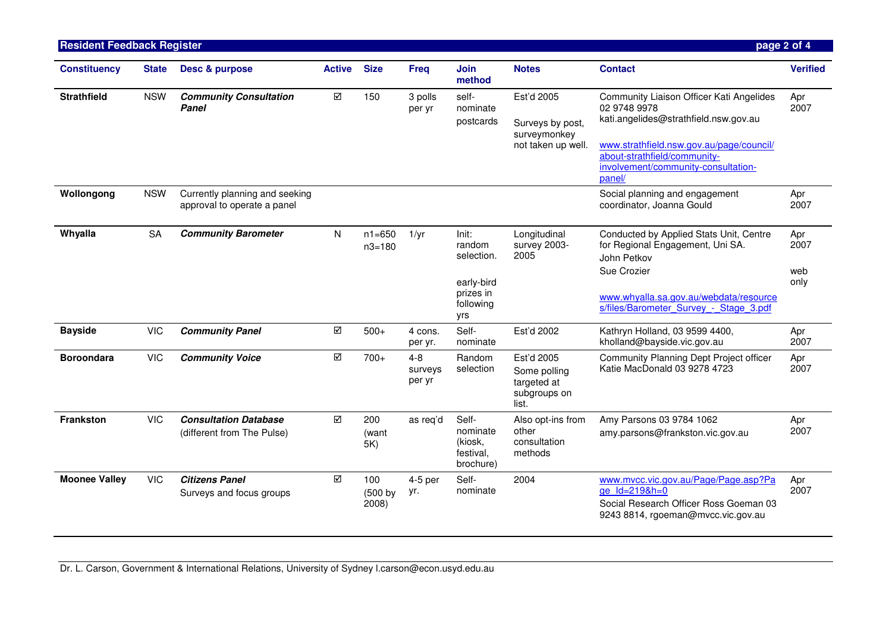| <b>Resident Feedback Register</b> |              |                                                               |               |                          |                              |                                                                              |                                                                      |                                                                                                                                                                                                                                | page 2 of 4                |
|-----------------------------------|--------------|---------------------------------------------------------------|---------------|--------------------------|------------------------------|------------------------------------------------------------------------------|----------------------------------------------------------------------|--------------------------------------------------------------------------------------------------------------------------------------------------------------------------------------------------------------------------------|----------------------------|
| <b>Constituency</b>               | <b>State</b> | Desc & purpose                                                | <b>Active</b> | <b>Size</b>              | <b>Freq</b>                  | Join<br>method                                                               | <b>Notes</b>                                                         | <b>Contact</b>                                                                                                                                                                                                                 | <b>Verified</b>            |
| <b>Strathfield</b>                | <b>NSW</b>   | <b>Community Consultation</b><br>Panel                        | ☑             | 150                      | 3 polls<br>per yr            | self-<br>nominate<br>postcards                                               | Est'd 2005<br>Surveys by post,<br>surveymonkey<br>not taken up well. | Community Liaison Officer Kati Angelides<br>02 9748 9978<br>kati.angelides@strathfield.nsw.gov.au<br>www.strathfield.nsw.gov.au/page/council/<br>about-strathfield/community-<br>involvement/community-consultation-<br>panel/ | Apr<br>2007                |
| Wollongong                        | <b>NSW</b>   | Currently planning and seeking<br>approval to operate a panel |               |                          |                              |                                                                              |                                                                      | Social planning and engagement<br>coordinator, Joanna Gould                                                                                                                                                                    | Apr<br>2007                |
| Whyalla                           | <b>SA</b>    | <b>Community Barometer</b>                                    | N             | $n1 = 650$<br>$n3 = 180$ | 1/yr                         | Init:<br>random<br>selection.<br>early-bird<br>prizes in<br>following<br>yrs | Longitudinal<br>survey 2003-<br>2005                                 | Conducted by Applied Stats Unit, Centre<br>for Regional Engagement, Uni SA.<br>John Petkov<br>Sue Crozier<br>www.whyalla.sa.gov.au/webdata/resource<br>s/files/Barometer Survey - Stage 3.pdf                                  | Apr<br>2007<br>web<br>only |
| <b>Bayside</b>                    | <b>VIC</b>   | <b>Community Panel</b>                                        | ☑             | $500+$                   | 4 cons.<br>per yr.           | Self-<br>nominate                                                            | Est'd 2002                                                           | Kathryn Holland, 03 9599 4400,<br>kholland@bayside.vic.gov.au                                                                                                                                                                  | Apr<br>2007                |
| <b>Boroondara</b>                 | <b>VIC</b>   | <b>Community Voice</b>                                        | ☑             | $700+$                   | $4 - 8$<br>surveys<br>per yr | Random<br>selection                                                          | Est'd 2005<br>Some polling<br>targeted at<br>subgroups on<br>list.   | Community Planning Dept Project officer<br>Katie MacDonald 03 9278 4723                                                                                                                                                        | Apr<br>2007                |
| <b>Frankston</b>                  | <b>VIC</b>   | <b>Consultation Database</b><br>(different from The Pulse)    | ☑             | 200<br>(want<br>5K)      | as reg'd                     | Self-<br>nominate<br>(kiosk,<br>festival,<br>brochure)                       | Also opt-ins from<br>other<br>consultation<br>methods                | Amy Parsons 03 9784 1062<br>amy.parsons@frankston.vic.gov.au                                                                                                                                                                   | Apr<br>2007                |
| <b>Moonee Valley</b>              | <b>VIC</b>   | <b>Citizens Panel</b><br>Surveys and focus groups             | ☑             | 100<br>(500 by<br>2008)  | 4-5 per<br>yr.               | Self-<br>nominate                                                            | 2004                                                                 | www.mvcc.vic.gov.au/Page/Page.asp?Pa<br>ge Id=219&h=0<br>Social Research Officer Ross Goeman 03<br>9243 8814, rgoeman@mvcc.vic.gov.au                                                                                          | Apr<br>2007                |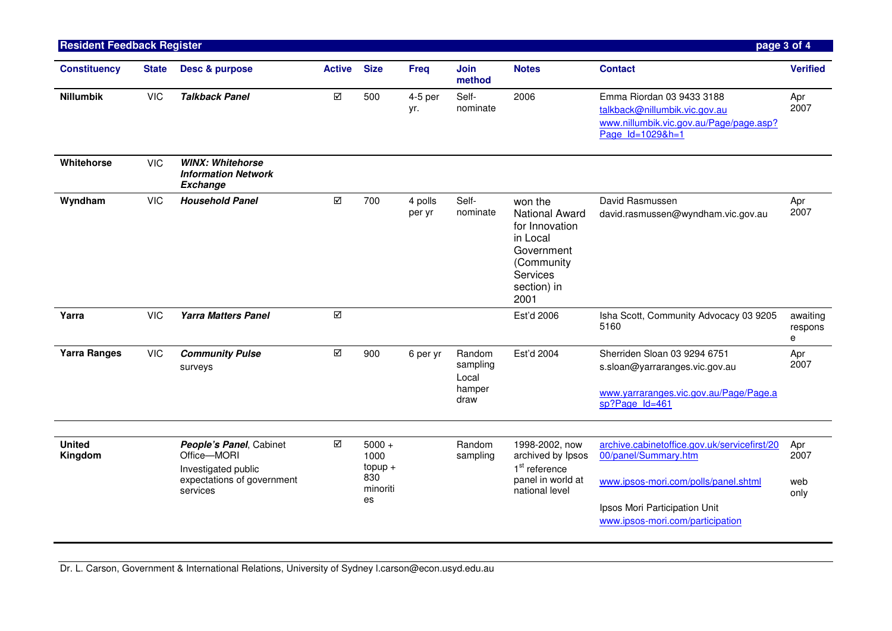| <b>Resident Feedback Register</b> |              |                                                                                                         |                         |                                                        |                   |                                               |                                                                                                                               |                                                                                                                                                                                   | page 3 of 4                |
|-----------------------------------|--------------|---------------------------------------------------------------------------------------------------------|-------------------------|--------------------------------------------------------|-------------------|-----------------------------------------------|-------------------------------------------------------------------------------------------------------------------------------|-----------------------------------------------------------------------------------------------------------------------------------------------------------------------------------|----------------------------|
| <b>Constituency</b>               | <b>State</b> | Desc & purpose                                                                                          | <b>Active</b>           | <b>Size</b>                                            | <b>Freq</b>       | Join<br>method                                | <b>Notes</b>                                                                                                                  | <b>Contact</b>                                                                                                                                                                    | <b>Verified</b>            |
| <b>Nillumbik</b>                  | <b>VIC</b>   | <b>Talkback Panel</b>                                                                                   | ☑                       | 500                                                    | 4-5 per<br>yr.    | Self-<br>nominate                             | 2006                                                                                                                          | Emma Riordan 03 9433 3188<br>talkback@nillumbik.vic.gov.au<br>www.nillumbik.vic.gov.au/Page/page.asp?<br>Page Id=1029&h=1                                                         | Apr<br>2007                |
| Whitehorse                        | <b>VIC</b>   | <b>WINX: Whitehorse</b><br><b>Information Network</b><br><b>Exchange</b>                                |                         |                                                        |                   |                                               |                                                                                                                               |                                                                                                                                                                                   |                            |
| Wyndham                           | <b>VIC</b>   | <b>Household Panel</b>                                                                                  | $\overline{\mathbf{M}}$ | 700                                                    | 4 polls<br>per yr | Self-<br>nominate                             | won the<br><b>National Award</b><br>for Innovation<br>in Local<br>Government<br>(Community<br>Services<br>section) in<br>2001 | David Rasmussen<br>david.rasmussen@wyndham.vic.gov.au                                                                                                                             | Apr<br>2007                |
| Yarra                             | <b>VIC</b>   | <b>Yarra Matters Panel</b>                                                                              | $\overline{\mathsf{M}}$ |                                                        |                   |                                               | Est'd 2006                                                                                                                    | Isha Scott, Community Advocacy 03 9205<br>5160                                                                                                                                    | awaiting<br>respons<br>e   |
| <b>Yarra Ranges</b>               | <b>VIC</b>   | <b>Community Pulse</b><br>surveys                                                                       | $\overline{\mathsf{M}}$ | 900                                                    | 6 per yr          | Random<br>sampling<br>Local<br>hamper<br>draw | Est'd 2004                                                                                                                    | Sherriden Sloan 03 9294 6751<br>s.sloan@yarraranges.vic.gov.au<br>www.yarraranges.vic.gov.au/Page/Page.a<br>sp?Page Id=461                                                        | Apr<br>2007                |
| <b>United</b><br>Kingdom          |              | People's Panel, Cabinet<br>Office-MORI<br>Investigated public<br>expectations of government<br>services | ☑                       | $5000 +$<br>1000<br>$topup +$<br>830<br>minoriti<br>es |                   | Random<br>sampling                            | 1998-2002, now<br>archived by Ipsos<br>1 <sup>st</sup> reference<br>panel in world at<br>national level                       | archive.cabinetoffice.gov.uk/servicefirst/20<br>00/panel/Summary.htm<br>www.ipsos-mori.com/polls/panel.shtml<br>Ipsos Mori Participation Unit<br>www.ipsos-mori.com/participation | Apr<br>2007<br>web<br>only |